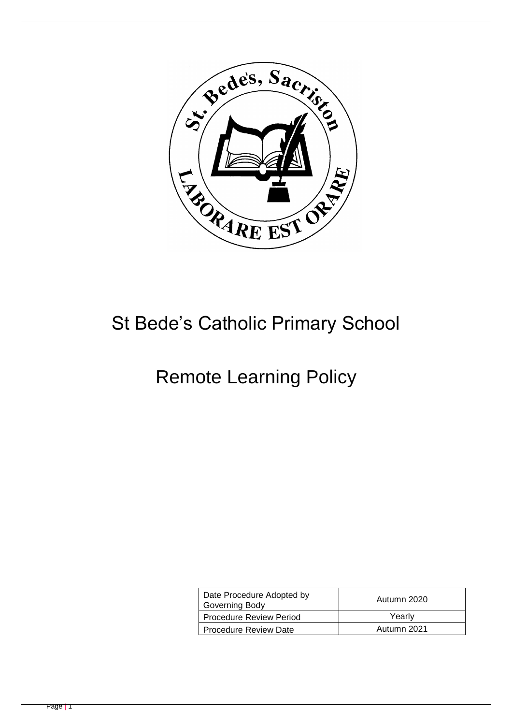

# St Bede's Catholic Primary School

# Remote Learning Policy

| Date Procedure Adopted by<br>Governing Body | Autumn 2020 |
|---------------------------------------------|-------------|
| Procedure Review Period                     | Yearly      |
| l Procedure Review Date                     | Autumn 2021 |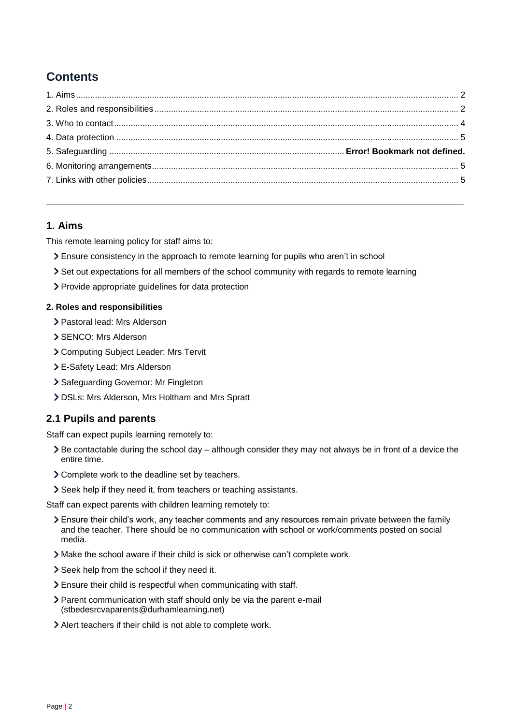# **Contents**

### <span id="page-1-0"></span>**1. Aims**

This remote learning policy for staff aims to:

- Ensure consistency in the approach to remote learning for pupils who aren't in school
- Set out expectations for all members of the school community with regards to remote learning
- > Provide appropriate guidelines for data protection

#### <span id="page-1-1"></span>**2. Roles and responsibilities**

- Pastoral lead: Mrs Alderson
- SENCO: Mrs Alderson
- Computing Subject Leader: Mrs Tervit
- E-Safety Lead: Mrs Alderson
- > Safeguarding Governor: Mr Fingleton
- DSLs: Mrs Alderson, Mrs Holtham and Mrs Spratt

#### **2.1 Pupils and parents**

Staff can expect pupils learning remotely to:

- $\geq$  Be contactable during the school day although consider they may not always be in front of a device the entire time.
- Complete work to the deadline set by teachers.
- Seek help if they need it, from teachers or teaching assistants.

Staff can expect parents with children learning remotely to:

- Ensure their child's work, any teacher comments and any resources remain private between the family and the teacher. There should be no communication with school or work/comments posted on social media.
- Make the school aware if their child is sick or otherwise can't complete work.
- Seek help from the school if they need it.
- Ensure their child is respectful when communicating with staff.
- Parent communication with staff should only be via the parent e-mail (stbedesrcvaparents@durhamlearning.net)
- Alert teachers if their child is not able to complete work.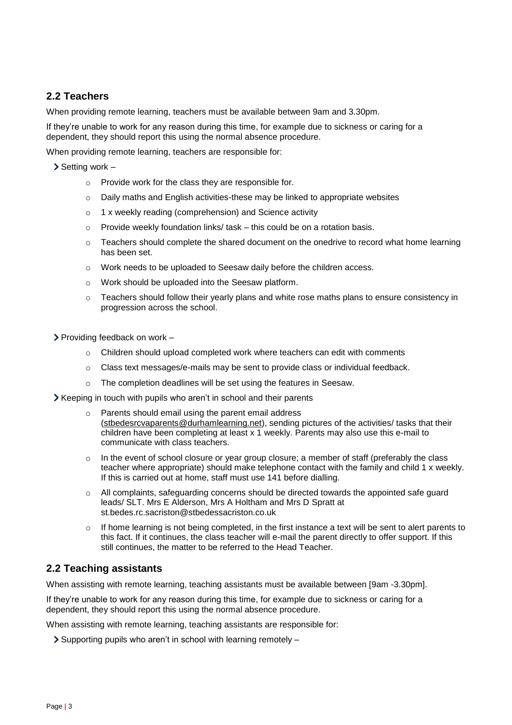### **2.2 Teachers**

When providing remote learning, teachers must be available between 9am and 3.30pm.

If they're unable to work for any reason during this time, for example due to sickness or caring for a dependent, they should report this using the normal absence procedure.

When providing remote learning, teachers are responsible for:

 $\sum$  Setting work –

- o Provide work for the class they are responsible for.
- $\circ$  Daily maths and English activities-these may be linked to appropriate websites
- o 1 x weekly reading (comprehension) and Science activity
- o Provide weekly foundation links/ task this could be on a rotation basis.
- o Teachers should complete the shared document on the onedrive to record what home learning has been set.
- o Work needs to be uploaded to Seesaw daily before the children access.
- o Work should be uploaded into the Seesaw platform.
- $\circ$  Teachers should follow their yearly plans and white rose maths plans to ensure consistency in progression across the school.
- $\triangleright$  Providing feedback on work
	- $\circ$  Children should upload completed work where teachers can edit with comments
	- $\circ$  Class text messages/e-mails may be sent to provide class or individual feedback.
	- o The completion deadlines will be set using the features in Seesaw.
- Xeeping in touch with pupils who aren't in school and their parents
	- Parents should email using the parent email address [\(stbedesrcvaparents@durhamlearning.net\)](mailto:stbedesrcvaparents@durhamlearning.net), sending pictures of the activities/ tasks that their children have been completing at least x 1 weekly. Parents may also use this e-mail to communicate with class teachers.
	- o In the event of school closure or year group closure; a member of staff (preferably the class teacher where appropriate) should make telephone contact with the family and child 1 x weekly. If this is carried out at home, staff must use 141 before dialling.
	- o All complaints, safeguarding concerns should be directed towards the appointed safe guard leads/ SLT. Mrs E Alderson, Mrs A Holtham and Mrs D Spratt at st.bedes.rc.sacriston@stbedessacriston.co.uk
	- o If home learning is not being completed, in the first instance a text will be sent to alert parents to this fact. If it continues, the class teacher will e-mail the parent directly to offer support. If this still continues, the matter to be referred to the Head Teacher.

#### **2.2 Teaching assistants**

When assisting with remote learning, teaching assistants must be available between [9am -3.30pm].

If they're unable to work for any reason during this time, for example due to sickness or caring for a dependent, they should report this using the normal absence procedure.

When assisting with remote learning, teaching assistants are responsible for:

 $\geq$  Supporting pupils who aren't in school with learning remotely –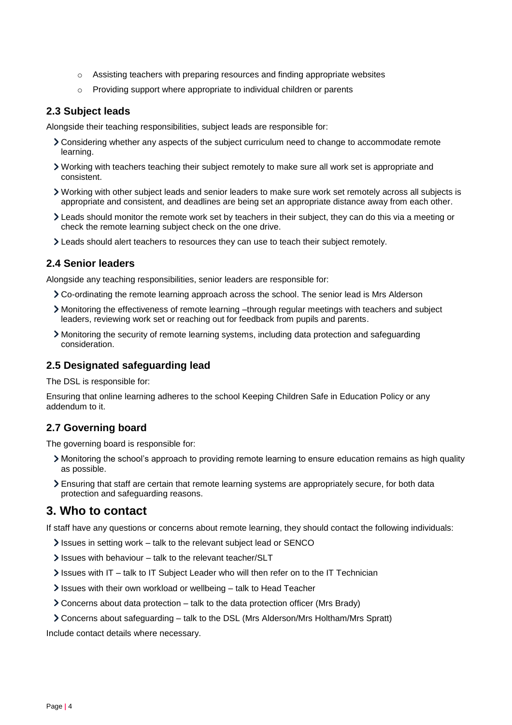- $\circ$  Assisting teachers with preparing resources and finding appropriate websites
- o Providing support where appropriate to individual children or parents

#### **2.3 Subject leads**

Alongside their teaching responsibilities, subject leads are responsible for:

- Considering whether any aspects of the subject curriculum need to change to accommodate remote learning.
- Working with teachers teaching their subject remotely to make sure all work set is appropriate and consistent.
- Working with other subject leads and senior leaders to make sure work set remotely across all subjects is appropriate and consistent, and deadlines are being set an appropriate distance away from each other.
- Leads should monitor the remote work set by teachers in their subject, they can do this via a meeting or check the remote learning subject check on the one drive.
- Leads should alert teachers to resources they can use to teach their subject remotely.

#### **2.4 Senior leaders**

Alongside any teaching responsibilities, senior leaders are responsible for:

- Co-ordinating the remote learning approach across the school. The senior lead is Mrs Alderson
- Monitoring the effectiveness of remote learning –through regular meetings with teachers and subject leaders, reviewing work set or reaching out for feedback from pupils and parents.
- Monitoring the security of remote learning systems, including data protection and safeguarding consideration.

#### **2.5 Designated safeguarding lead**

The DSL is responsible for:

Ensuring that online learning adheres to the school Keeping Children Safe in Education Policy or any addendum to it.

#### **2.7 Governing board**

The governing board is responsible for:

- Monitoring the school's approach to providing remote learning to ensure education remains as high quality as possible.
- Ensuring that staff are certain that remote learning systems are appropriately secure, for both data protection and safeguarding reasons.

#### <span id="page-3-0"></span>**3. Who to contact**

If staff have any questions or concerns about remote learning, they should contact the following individuals:

- Issues in setting work talk to the relevant subject lead or SENCO
- $\ge$  Issues with behaviour talk to the relevant teacher/SLT
- $\ge$  Issues with IT talk to IT Subject Leader who will then refer on to the IT Technician
- Issues with their own workload or wellbeing talk to Head Teacher
- Concerns about data protection talk to the data protection officer (Mrs Brady)
- Concerns about safeguarding talk to the DSL (Mrs Alderson/Mrs Holtham/Mrs Spratt)

Include contact details where necessary.